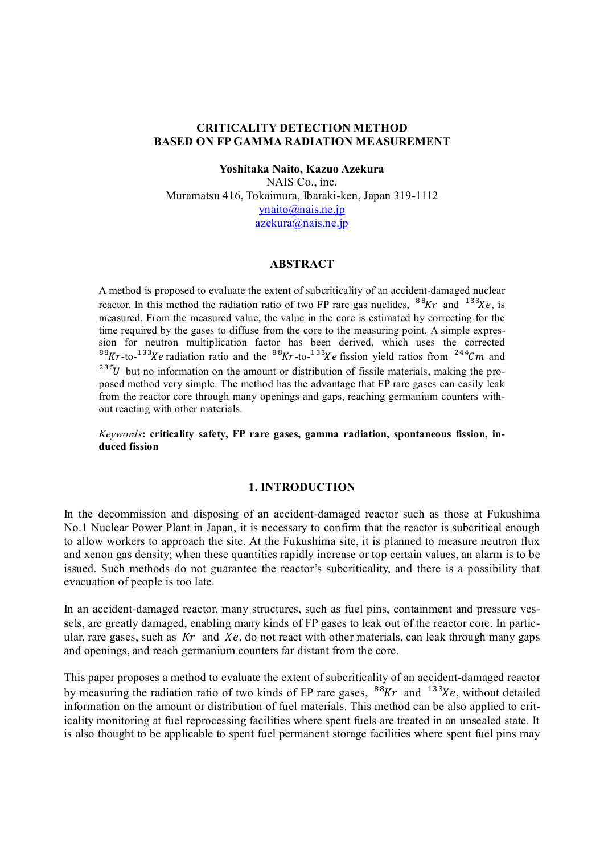## **CRITICALITY DETECTION METHOD BASED ON FP GAMMA RADIATION MEASUREMENT**

**Yoshitaka Naito, Kazuo Azekura** NAIS Co., inc. Muramatsu 416, Tokaimura, Ibaraki-ken, Japan 319-1112 ynaito@nais.ne.jp azekura@nais.ne.jp

### **ABSTRACT**

A method is proposed to evaluate the extent of subcriticality of an accident-damaged nuclear reactor. In this method the radiation ratio of two FP rare gas nuclides,  $88Kr$  and  $133Ke$ , is measured. From the measured value, the value in the core is estimated by correcting for the time required by the gases to diffuse from the core to the measuring point. A simple expression for neutron multiplication factor has been derived, which uses the corrected <sup>88</sup>Kr-to-<sup>133</sup>Xe radiation ratio and the <sup>88</sup>Kr-to-<sup>133</sup>Xe fission yield ratios from <sup>244</sup>Cm and  $^{235}U$  but no information on the amount or distribution of fissile materials, making the proposed method very simple. The method has the advantage that FP rare gases can easily leak from the reactor core through many openings and gaps, reaching germanium counters without reacting with other materials.

*Keywords***: criticality safety, FP rare gases, gamma radiation, spontaneous fission, induced fission**

#### **1. INTRODUCTION**

In the decommission and disposing of an accident-damaged reactor such as those at Fukushima No.1 Nuclear Power Plant in Japan, it is necessary to confirm that the reactor is subcritical enough to allow workers to approach the site. At the Fukushima site, it is planned to measure neutron flux and xenon gas density; when these quantities rapidly increase or top certain values, an alarm is to be issued. Such methods do not guarantee the reactor's subcriticality, and there is a possibility that evacuation of people is too late.

In an accident-damaged reactor, many structures, such as fuel pins, containment and pressure vessels, are greatly damaged, enabling many kinds of FP gases to leak out of the reactor core. In particular, rare gases, such as  $Kr$  and  $Xe$ , do not react with other materials, can leak through many gaps and openings, and reach germanium counters far distant from the core.

This paper proposes a method to evaluate the extent of subcriticality of an accident-damaged reactor by measuring the radiation ratio of two kinds of FP rare gases,  $88Kr$  and  $133Xe$ , without detailed information on the amount or distribution of fuel materials. This method can be also applied to criticality monitoring at fuel reprocessing facilities where spent fuels are treated in an unsealed state. It is also thought to be applicable to spent fuel permanent storage facilities where spent fuel pins may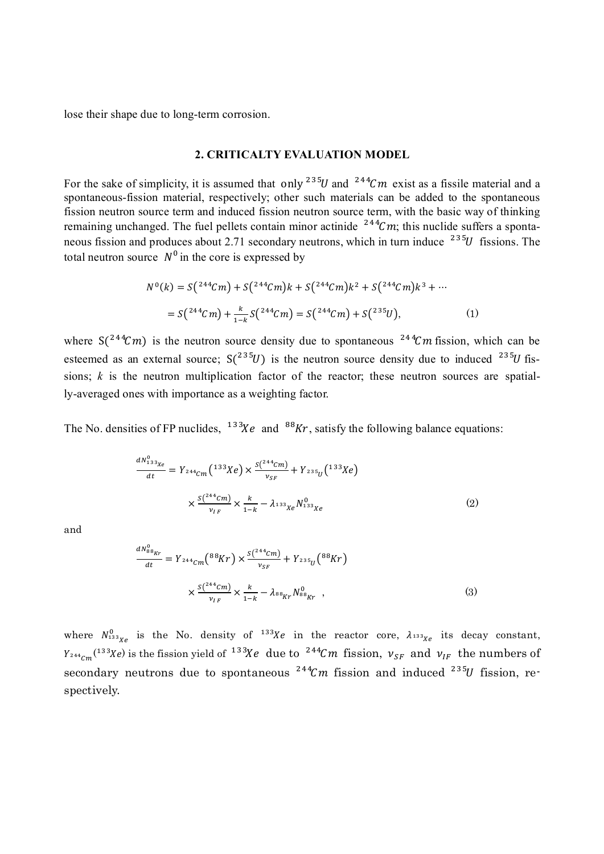lose their shape due to long-term corrosion.

### **2. CRITICALTY EVALUATION MODEL**

For the sake of simplicity, it is assumed that only  $^{235}U$  and  $^{244}Cm$  exist as a fissile material and a spontaneous-fission material, respectively; other such materials can be added to the spontaneous fission neutron source term and induced fission neutron source term, with the basic way of thinking remaining unchanged. The fuel pellets contain minor actinide  $244$ Cm; this nuclide suffers a spontaneous fission and produces about 2.71 secondary neutrons, which in turn induce  $^{235}U$  fissions. The total neutron source  $N^0$  in the core is expressed by

$$
N^{0}(k) = S(2^{44}Cm) + S(2^{44}Cm)k + S(2^{44}Cm)k^{2} + S(2^{44}Cm)k^{3} + \cdots
$$
  
= S(2^{44}Cm) +  $\frac{k}{1-k}$  S(2^{44}Cm) = S(2^{44}Cm) + S(2^{35}U), (1)

where  $S(^{244}Cm)$  is the neutron source density due to spontaneous  $^{244}Cm$  fission, which can be esteemed as an external source;  $S(^{235}U)$  is the neutron source density due to induced  $^{235}U$  fissions;  $k$  is the neutron multiplication factor of the reactor; these neutron sources are spatially-averaged ones with importance as a weighting factor.

The No. densities of FP nuclides,  $13^{3}Xe$  and  $88Kr$ , satisfy the following balance equations:

$$
\frac{dN_{133\chi_e}^0}{dt} = Y_{244}Cm \left(\frac{133\chi_e}{x}\right) \times \frac{S\left(\frac{244\chi_m}{x}\right)}{x_{SF}} + Y_{235}C\left(\frac{133\chi_e}{x}\right)
$$
\n
$$
\times \frac{S\left(\frac{244\chi_m}{x}\right)}{x_{IF}} \times \frac{k}{1-k} - \lambda_{133\chi_e} N_{133\chi_e}^0 \tag{2}
$$

and

$$
\frac{dN_{88_{Kr}}^{0}}{dt} = Y_{244_{Cm}}(^{88}Kr) \times \frac{S(^{244_{Cm}})}{v_{SF}} + Y_{235_{U}}(^{88}Kr)
$$

$$
\times \frac{S(^{244_{Cm}})}{v_{IF}} \times \frac{k}{1-k} - \lambda_{88_{Kr}} N_{88_{Kr}}^{0}, \qquad (3)
$$

where  $N_{133\chi_e}^0$  is the No. density of  $133\chi_e$  in the reactor core,  $\lambda_{133\chi_e}$  its decay constant,  $Y_{244}C_m$ <sup>(133</sup>Xe) is the fission yield of <sup>133</sup>Xe due to <sup>244</sup>Cm fission,  $v_{SF}$  and  $v_{IF}$  the numbers of secondary neutrons due to spontaneous  $244$ Cm fission and induced  $235$ U fission, respectively.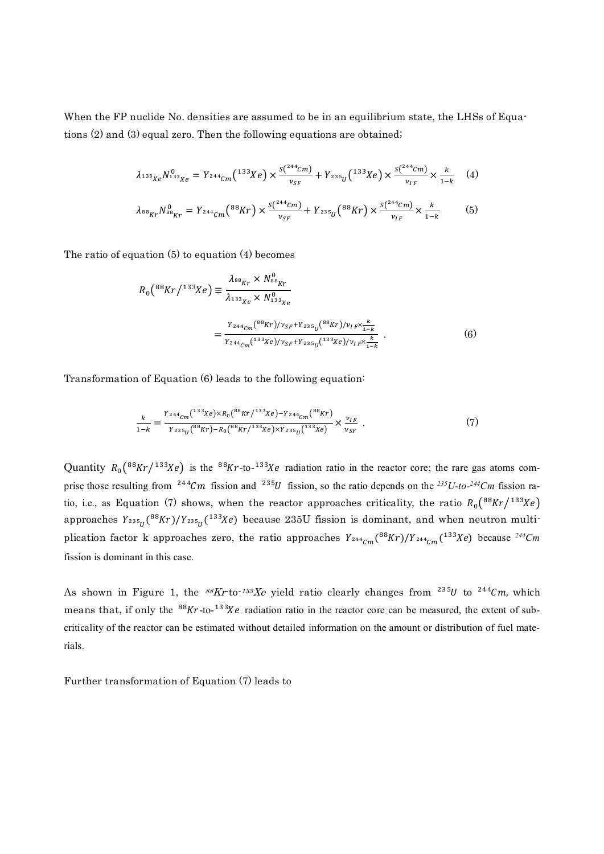When the FP nuclide No. densities are assumed to be in an equilibrium state, the LHSs of Equations (2) and (3) equal zero. Then the following equations are obtained;

$$
\lambda_{133}{}_{Xe} N_{133}^{0}{}_{Xe} = Y_{244}{}_{Cm} (133 \text{X}e) \times \frac{S(244 \text{C}m)}{v_{SF}} + Y_{235}{}_{U} (133 \text{X}e) \times \frac{S(244 \text{C}m)}{v_{IF}} \times \frac{k}{1-k} \quad (4)
$$
  

$$
\lambda_{88}{}_{Kr} N_{88}^{0}{}_{Kr} = Y_{244}{}_{Cm} (88 \text{Kr}) \times \frac{S(244 \text{C}m)}{v_{SF}} + Y_{235}{}_{U} (88 \text{Kr}) \times \frac{S(244 \text{C}m)}{v_{IF}} \times \frac{k}{1-k} \quad (5)
$$

The ratio of equation (5) to equation (4) becomes

$$
R_0(^{88}Kr/^{133}Xe) \equiv \frac{\lambda_{^{88}Kr} \times N_{^{88}Kr}^0}{\lambda_{^{133}Xe} \times N_{^{133}Xe}^0}
$$
  
= 
$$
\frac{Y_{^{244}cm}(^{88}Kr)/\nu_{SF}+Y_{^{235}U}(^{88}Kr)/\nu_{IF} \times \frac{k}{1-k}}{Y_{^{244}cm}(^{133}Xe)/\nu_{SF}+Y_{^{235}U}(^{133}Xe)/\nu_{IF} \times \frac{k}{1-k}}.
$$
 (6)

Transformation of Equation (6) leads to the following equation:

$$
\frac{k}{1-k} = \frac{Y_{244} \zeta m^{(133} Xe) \times R_0(^{88} K r /^{133} Xe) - Y_{244} \zeta m^{(88} K r)}{Y_{235} \zeta m^{(88} K r) - R_0(^{88} K r /^{133} Xe) \times Y_{235} \zeta m^{(133} Xe)} \times \frac{v_{IF}}{v_{SF}} . \tag{7}
$$

Quantity  $R_0({}^{88}Kr/{}^{133}Xe)$  is the  ${}^{88}Kr$ -to- ${}^{133}Xe$  radiation ratio in the reactor core; the rare gas atoms comprise those resulting from  $244Cm$  fission and  $235U$  fission, so the ratio depends on the  $235U$ -to- $244Cm$  fission ratio, i.e., as Equation (7) shows, when the reactor approaches criticality, the ratio  $R_0({}^{88}Kr/{}^{133}Xe)$ approaches  $Y_{^{235}U}(^{88}Kr)/Y_{^{235}U}(^{133}Xe)$  because  $235U$  fission is dominant, and when neutron multiplication factor k approaches zero, the ratio approaches  $Y_{^{244}Cm}(^{88}Kr)/Y_{^{244}Cm}(^{133}Xe)$  because  $^{244}Cm$ fission is dominant in this case.

As shown in Figure 1, the  ${}^{88}Kr$ -to- ${}^{133}Xe$  yield ratio clearly changes from  ${}^{235}U$  to  ${}^{244}Cm$ , which means that, if only the  ${}^{88}Kr$ -to- ${}^{133}Xe$  radiation ratio in the reactor core can be measured, the extent of subcriticality of the reactor can be estimated without detailed information on the amount or distribution of fuel materials.

Further transformation of Equation (7) leads to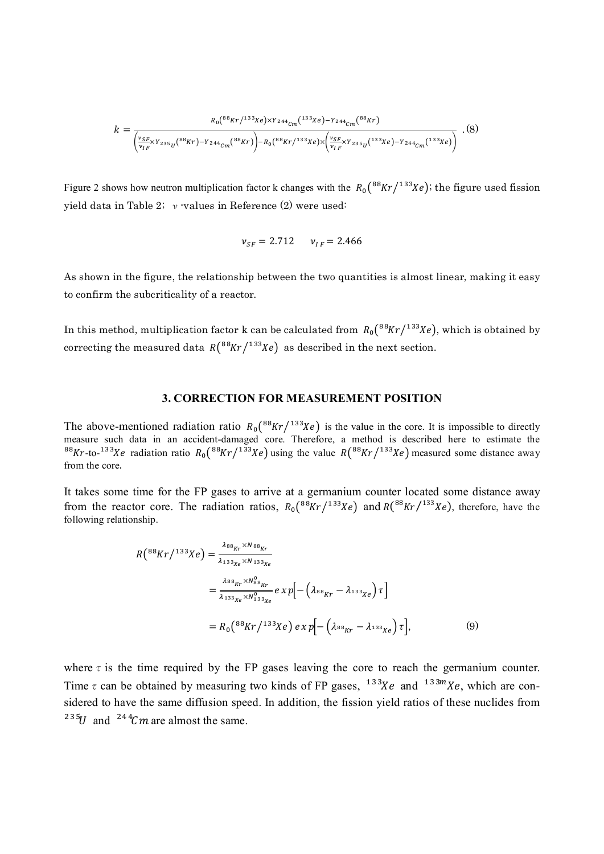$$
k = \frac{R_0(^{88}Kr)^{133}Xe) \times Y_{244}C_m(^{133}Xe) - Y_{244}C_m(^{88}Kr)}{\left(\frac{V_{SF}}{V_{IF}} \times Y_{235}U^{(88}Kr) - Y_{244}C_m(^{88}Kr)\right) - R_0(^{88}Kr)^{133}Xe) \times \left(\frac{V_{SF}}{V_{IF}} \times Y_{235}U^{(133}Xe) - Y_{244}C_m(^{133}Xe)\right)} \tag{8}
$$

Figure 2 shows how neutron multiplication factor k changes with the  $R_0({}^{88}Kr/{}^{133}Xe)$ ; the figure used fission yield data in Table 2;  $\nu$  values in Reference (2) were used:

$$
\nu_{SF} = 2.712 \qquad \nu_{IF} = 2.466
$$

As shown in the figure, the relationship between the two quantities is almost linear, making it easy to confirm the subcriticality of a reactor.

In this method, multiplication factor k can be calculated from  $R_0({}^{88}Kr/{}^{133}Xe)$ , which is obtained by correcting the measured data  $R(^{88}Kr/^{133}Xe)$  as described in the next section.

### **3. CORRECTION FOR MEASUREMENT POSITION**

The above-mentioned radiation ratio  $R_0({}^{88}Kr/{}^{133}Xe)$  is the value in the core. It is impossible to directly measure such data in an accident-damaged core. Therefore, a method is described here to estimate the <sup>88</sup>Kr-to-<sup>133</sup>Xe radiation ratio  $R_0({}^{88}Kr/{}^{133}Xe)$  using the value  $R({}^{88}Kr/{}^{133}Xe)$  measured some distance away from the core.

It takes some time for the FP gases to arrive at a germanium counter located some distance away from the reactor core. The radiation ratios,  $R_0({}^{88}Kr/{}^{133}Xe)$  and  $R({}^{88}Kr/{}^{133}Xe)$ , therefore, have the following relationship.

$$
R(^{88}Kr/^{133}Xe) = \frac{\lambda_{88_{Kr}} \times N_{88_{Kr}}}{\lambda_{133_{Xe}} \times N_{133_{Xe}}}
$$
  
= 
$$
\frac{\lambda_{88_{Kr}} \times N_{88_{Kr}}^0}{\lambda_{133_{Xe}} \times N_{133_{Xe}}^0} e \times p \Big[ - (\lambda_{88_{Kr}} - \lambda_{133_{Xe}}) \tau \Big]
$$
  
= 
$$
R_0(^{88}Kr/^{133}Xe) e \times p \Big[ - (\lambda_{88_{Kr}} - \lambda_{133_{Xe}}) \tau \Big],
$$
 (9)

where  $\tau$  is the time required by the FP gases leaving the core to reach the germanium counter. Time  $\tau$  can be obtained by measuring two kinds of FP gases,  $13\frac{3}{X}$ e and  $13\frac{3m}{X}$ e, which are considered to have the same diffusion speed. In addition, the fission yield ratios of these nuclides from <sup>235</sup>U and <sup>244</sup>Cm are almost the same.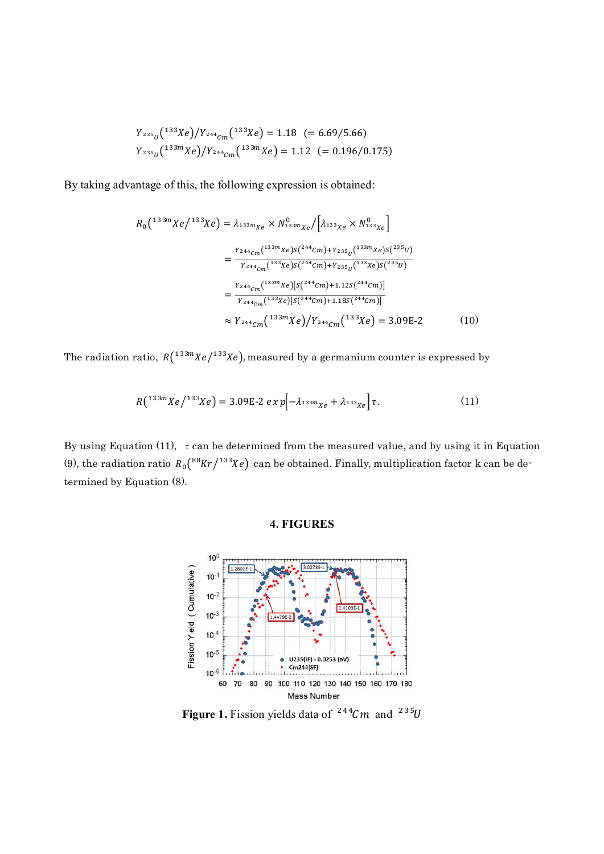$$
Y_{235_{U}}(^{133}Xe)/Y_{244_{Cm}}(^{133}Xe) = 1.18 (= 6.69/5.66)
$$
  

$$
Y_{235_{U}}(^{133m}Xe)/Y_{244_{Cm}}(^{133m}Xe) = 1.12 (= 0.196/0.175)
$$

By taking advantage of this, the following expression is obtained:

$$
R_0(^{133m}Xe/^{133}Xe) = \lambda_{133m_{Xe}} \times N_{133m_{Xe}}^{0} / [\lambda_{133Xe} \times N_{133Xe}^{0}]
$$
  
= 
$$
\frac{Y_{244_{Cm}}(^{133m}Xe)S(^{244}Cm) + Y_{235_{U}}(^{133m}Xe)S(^{235}U)}{Y_{244_{Cm}}(^{133}Xe)S(^{244}Cm) + Y_{235_{U}}(^{133}Xe)S(^{235}U)}
$$
  
= 
$$
\frac{Y_{244_{Cm}}(^{133m}Xe) [S(^{244}Cm) + 1.12S(^{244}Cm)]}{Y_{244_{Cm}}(^{133}Xe) [S(^{244}Cm) + 1.18S(^{244}Cm)]}
$$
  

$$
\approx Y_{244_{Cm}}(^{133m}Xe) / Y_{244_{Cm}}(^{133}Xe) = 3.09E-2
$$
 (10)

The radiation ratio,  $R(^{133m}Xe/^{133}Xe)$ , measured by a germanium counter is expressed by

$$
R(^{133m}Xe/^{133}Xe) = 3.09E - 2 e X p[-\lambda_{133m}x_e + \lambda_{133}x_e] \tau.
$$
 (11)

By using Equation (11),  $\tau$  can be determined from the measured value, and by using it in Equation (9), the radiation ratio  $R_0({}^{88}Kr/{}^{133}Xe)$  can be obtained. Finally, multiplication factor k can be determined by Equation (8).

### **4. FIGURES**



**Figure 1.** Fission yields data of  $244Cm$  and  $235U$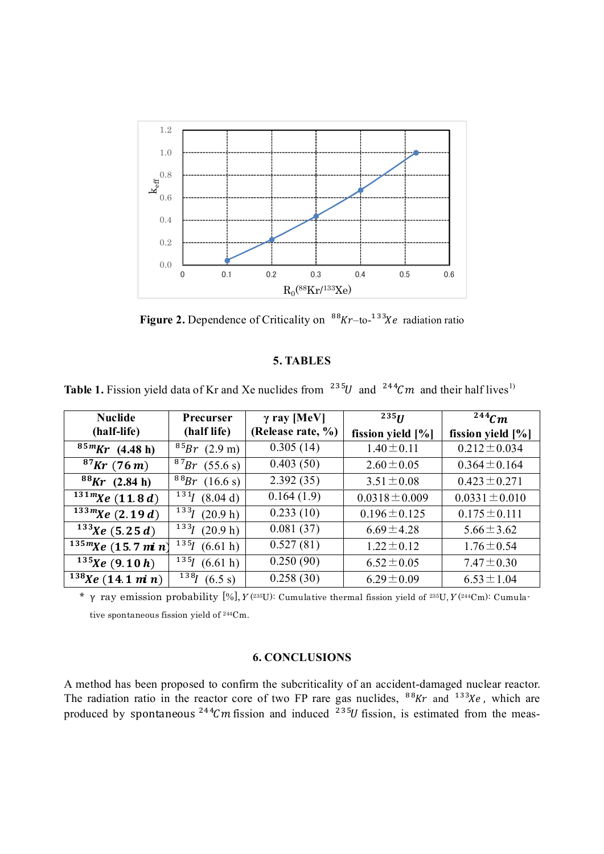

**Figure 2.** Dependence of Criticality on  $88Kr$ -to- $133Ke$  radiation ratio

# **5. TABLES**

**Table 1.** Fission yield data of Kr and Xe nuclides from  $1235U$  and  $1244C$  m and their half lives<sup>1)</sup>

| <b>Nuclide</b>       | Precurser                     | $\gamma$ ray [MeV] | 235H                 | <sup>244</sup> $\mathcal{C}m$ |
|----------------------|-------------------------------|--------------------|----------------------|-------------------------------|
| (half-life)          | (half life)                   | (Release rate, %)  | fission yield $[\%]$ | fission yield [%]             |
| $85mKr$ (4.48 h)     | $^{85}Br(2.9 \text{ m})$      | 0.305(14)          | $1.40 \pm 0.11$      | $0.212 \pm 0.034$             |
| $87$ Kr (76m)        | $87Br$ (55.6 s)               | 0.403(50)          | $2.60 \pm 0.05$      | $0.364 \pm 0.164$             |
| $88$ Kr (2.84 h)     | $888r$ (16.6 s)               | 2.392(35)          | $3.51 \pm 0.08$      | $0.423 \pm 0.271$             |
| $131m$ Xe (11.8 d)   | $131$ (8.04 d)                | 0.164(1.9)         | $0.0318 \pm 0.009$   | $0.0331 \pm 0.010$            |
| $133m$ Xe (2.19d)    | $133 \frac{1}{1}$<br>(20.9 h) | 0.233(10)          | $0.196 \pm 0.125$    | $0.175 \pm 0.111$             |
| $133$ Xe (5.25 d)    | $133 \frac{1}{1}$<br>(20.9 h) | 0.081(37)          | $6.69 \pm 4.28$      | $5.66 \pm 3.62$               |
| $135m$ Xe (15.7 min) | 135<br>(6.61 h)               | 0.527(81)          | $1.22 \pm 0.12$      | $1.76 \pm 0.54$               |
| $135$ Xe (9.10 h)    | $135 \, - 1$<br>(6.61 h)      | 0.250(90)          | $6.52 \pm 0.05$      | $7.47 \pm 0.30$               |
| $138$ Xe (14.1 min)  | $138$ (6.5 s)                 | 0.258(30)          | $6.29 \pm 0.09$      | $6.53 \pm 1.04$               |

<sup>\*</sup> γ ray emission probability [%],  $Y(2^{35}U)$ : Cumulative thermal fission yield of  $2^{35}U$ ,  $Y(2^{44}Cm)$ : Cumulative spontaneous fission yield of 244Cm.

## **6. CONCLUSIONS**

A method has been proposed to confirm the subcriticality of an accident-damaged nuclear reactor. The radiation ratio in the reactor core of two FP rare gas nuclides,  $88Kr$  and  $133Xe$ , which are produced by spontaneous <sup>244</sup>Cm fission and induced <sup>235</sup>U fission, is estimated from the meas